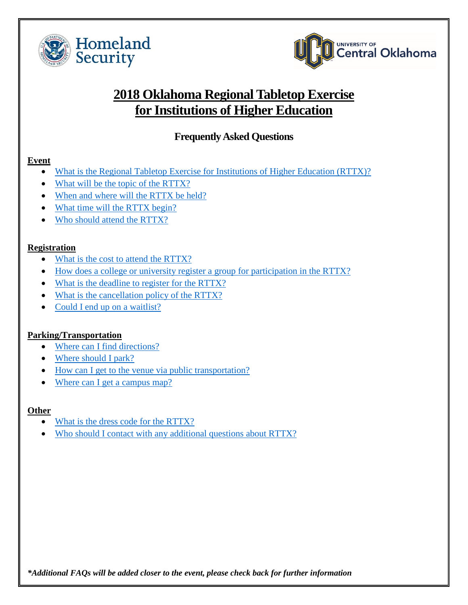<span id="page-0-0"></span>



# **2018 Oklahoma Regional Tabletop Exercise for Institutions of Higher Education**

# **Frequently Asked Questions**

#### **Event**

- What is the Regional [Tabletop Exercise for Institutions of Higher Education \(RTTX\)?](#page-1-0)
- [What will be the topic of the RTTX?](#page-1-1)
- [When and where will the RTTX be held?](#page-1-2)
- [What time will the RTTX begin?](#page-1-3)
- [Who should attend the RTTX?](#page-1-4)

#### **Registration**

- [What is the cost to attend the RTTX?](#page-1-5)
- [How does a college or university register a group for participation in the RTTX?](#page-1-6)
- [What is the deadline to register for the RTTX?](#page-1-7)
- [What is the cancellation policy of the RTTX?](#page-2-0)
- [Could I end up on a waitlist?](#page-2-1)

#### **Parking/Transportation**

- [Where can I find directions?](#page-2-2)
- [Where should I park?](#page-2-3)
- [How can I get to the venue via public transportation?](#page-2-4)
- [Where can I get a campus map?](#page-2-5)

#### **Other**

- [What is the dress code for the RTTX?](#page-2-6)
- [Who should I contact with any additional questions](#page-2-7) about RTTX?

*\*Additional FAQs will be added closer to the event, please check back for further information*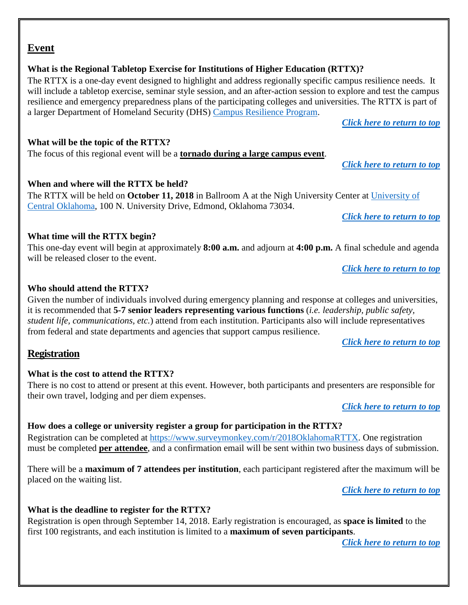#### resilience and emergency preparedness plans of the participating colleges and universities. The RTTX is part of a larger Department of Homeland Security (DHS) [Campus Resilience Program.](https://www.dhs.gov/academicresilience)

*[Click here to return to top](#page-0-0)*

*[Click here to return to top](#page-0-0)*

#### <span id="page-1-1"></span>**What will be the topic of the RTTX?**

The focus of this regional event will be a **tornado during a large campus event**.

#### <span id="page-1-2"></span>**When and where will the RTTX be held?**

The RTTX will be held on **October 11, 2018** in Ballroom A at the Nigh University Center at [University of](https://www.uco.edu/)  [Central Oklahoma,](https://www.uco.edu/) 100 N. University Drive, Edmond, Oklahoma 73034.

will include a tabletop exercise, seminar style session, and an after-action session to explore and test the campus

*[Click here to return to top](#page-0-0)*

#### <span id="page-1-3"></span>**What time will the RTTX begin?**

This one-day event will begin at approximately **8:00 a.m.** and adjourn at **4:00 p.m.** A final schedule and agenda will be released closer to the event.

*[Click here to return to top](#page-0-0)*

#### <span id="page-1-4"></span>**Who should attend the RTTX?**

Given the number of individuals involved during emergency planning and response at colleges and universities, it is recommended that **5-7 senior leaders representing various functions** (*i.e. leadership, public safety, student life, communications, etc.*) attend from each institution. Participants also will include representatives from federal and state departments and agencies that support campus resilience.

*[Click here to return to](#page-0-0) top*

#### <span id="page-1-5"></span>**Registration**

#### **What is the cost to attend the RTTX?**

There is no cost to attend or present at this event. However, both participants and presenters are responsible for their own travel, lodging and per diem expenses.

*[Click here to](#page-0-0) return to top*

#### <span id="page-1-6"></span>**How does a college or university register a group for participation in the RTTX?**

Registration can be completed at https://www.surveymonkey.com/r/2018OklahomaRTTX. One registration must be completed **per attendee**, and a confirmation email will be sent within two business days of submission.

There will be a **maximum of 7 attendees per institution**, each participant registered after the maximum will be placed on the waiting list.

*[Click here to return to top](#page-0-0)*

#### <span id="page-1-7"></span>**What is the deadline to register for the RTTX?**

Registration is open through September 14, 2018. Early registration is encouraged, as **space is limited** to the first 100 registrants, and each institution is limited to a **maximum of seven participants**.

*[Click here to return to top](#page-0-0)*

#### **Event**

#### <span id="page-1-0"></span>**What is the Regional Tabletop Exercise for Institutions of Higher Education (RTTX)?** The RTTX is a one-day event designed to highlight and address regionally specific campus resilience needs. It